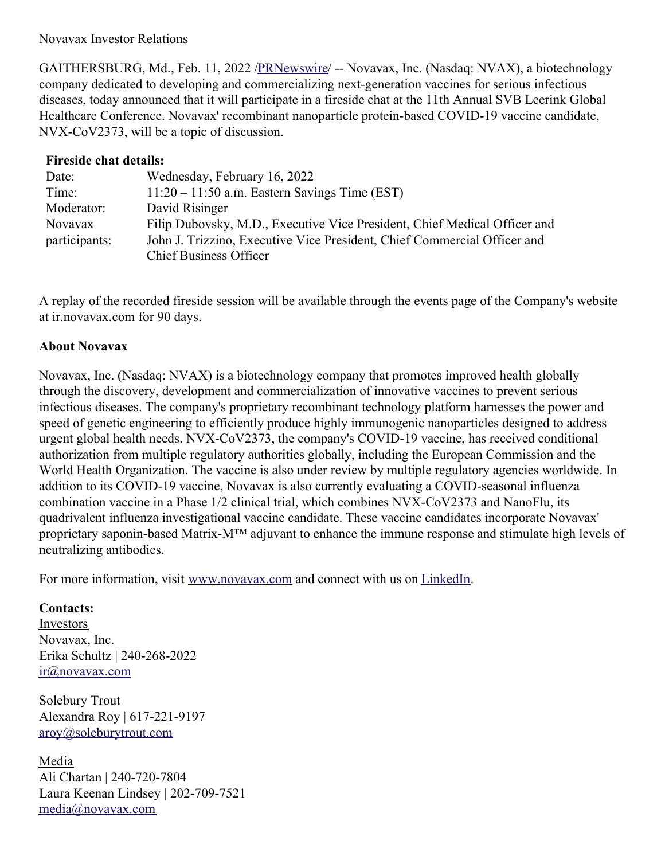Novavax Investor Relations

GAITHERSBURG, Md., Feb. 11, 2022 [/PRNewswire](http://www.prnewswire.com/)/ -- Novavax, Inc. (Nasdaq: NVAX), a biotechnology company dedicated to developing and commercializing next-generation vaccines for serious infectious diseases, today announced that it will participate in a fireside chat at the 11th Annual SVB Leerink Global Healthcare Conference. Novavax' recombinant nanoparticle protein-based COVID-19 vaccine candidate, NVX-CoV2373, will be a topic of discussion.

| <b>Fireside chat details:</b> |                                                                           |
|-------------------------------|---------------------------------------------------------------------------|
| Date:                         | Wednesday, February 16, 2022                                              |
| Time:                         | $11:20 - 11:50$ a.m. Eastern Savings Time (EST)                           |
| Moderator:                    | David Risinger                                                            |
| <b>Novavax</b>                | Filip Dubovsky, M.D., Executive Vice President, Chief Medical Officer and |
| participants:                 | John J. Trizzino, Executive Vice President, Chief Commercial Officer and  |
|                               | <b>Chief Business Officer</b>                                             |

A replay of the recorded fireside session will be available through the events page of the Company's website at ir.novavax.com for 90 days.

## **About Novavax**

Novavax, Inc. (Nasdaq: NVAX) is a biotechnology company that promotes improved health globally through the discovery, development and commercialization of innovative vaccines to prevent serious infectious diseases. The company's proprietary recombinant technology platform harnesses the power and speed of genetic engineering to efficiently produce highly immunogenic nanoparticles designed to address urgent global health needs. NVX-CoV2373, the company's COVID-19 vaccine, has received conditional authorization from multiple regulatory authorities globally, including the European Commission and the World Health Organization. The vaccine is also under review by multiple regulatory agencies worldwide. In addition to its COVID-19 vaccine, Novavax is also currently evaluating a COVID-seasonal influenza combination vaccine in a Phase 1/2 clinical trial, which combines NVX-CoV2373 and NanoFlu, its quadrivalent influenza investigational vaccine candidate. These vaccine candidates incorporate Novavax' proprietary saponin-based Matrix-M™ adjuvant to enhance the immune response and stimulate high levels of neutralizing antibodies.

For more information, visit [www.novavax.com](https://c212.net/c/link/?t=0&l=en&o=3441198-1&h=3430926979&u=https%3A%2F%2Fc212.net%2Fc%2Flink%2F%3Ft%3D0%26l%3Den%26o%3D3432645-1%26h%3D2438146177%26u%3Dhttps%253A%252F%252Fc212.net%252Fc%252Flink%252F%253Ft%253D0%2526l%253Den%2526o%253D3418278-1%2526h%253D2301237600%2526u%253Dhttps%25253A%25252F%25252Fc212.net%25252Fc%25252Flink%25252F%25253Ft%25253D0%252526l%25253Den%252526o%25253D3260461-1%252526h%25253D2897486098%252526u%25253Dhttp%2525253A%2525252F%2525252Fwww.novavax.com%2525252F%252526a%25253Dwww.novavax.com%2526a%253Dwww.novavax.com%26a%3Dwww.novavax.com&a=www.novavax.com) and connect with us on [LinkedIn](https://c212.net/c/link/?t=0&l=en&o=3441198-1&h=2642836165&u=https%3A%2F%2Fc212.net%2Fc%2Flink%2F%3Ft%3D0%26l%3Den%26o%3D3432645-1%26h%3D1093126257%26u%3Dhttps%253A%252F%252Fc212.net%252Fc%252Flink%252F%253Ft%253D0%2526l%253Den%2526o%253D3418278-1%2526h%253D3467374263%2526u%253Dhttps%25253A%25252F%25252Fc212.net%25252Fc%25252Flink%25252F%25253Ft%25253D0%252526l%25253Den%252526o%25253D3260461-1%252526h%25253D1508558197%252526u%25253Dhttps%2525253A%2525252F%2525252Fc212.net%2525252Fc%2525252Flink%2525252F%2525253Ft%2525253D0%25252526l%2525253Den%25252526o%2525253D3158017-1%25252526h%2525253D3702938248%25252526u%2525253Dhttps%252525253A%252525252F%252525252Fwww.linkedin.com%252525252Fcompany%252525252Fnovavax%252525252F%25252526a%2525253DLinkedIn%252526a%25253DLinkedIn%2526a%253DLinkedIn%26a%3DLinkedIn&a=LinkedIn).

## **Contacts:**

Investors Novavax, Inc. Erika Schultz | 240-268-2022 [ir@novavax.com](mailto:ir@novavax.com)

Solebury Trout Alexandra Roy | 617-221-9197 [aroy@soleburytrout.com](mailto:aroy@soleburytrout.com)

Media Ali Chartan | 240-720-7804 Laura Keenan Lindsey | 202-709-7521 [media@novavax.com](mailto:media@novavax.com)